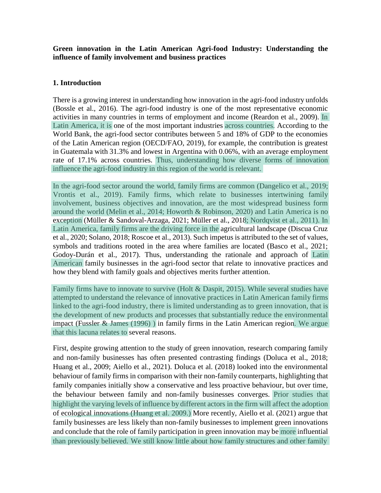**Green innovation in the Latin American Agri-food Industry: Understanding the influence of family involvement and business practices**

#### **1. Introduction**

There is a growing interest in understanding how innovation in the agri-food industry unfolds (Bossle et al., 2016). The agri-food industry is one of the most representative economic activities in many countries in terms of employment and income (Reardon et al., 2009). In Latin America, it is one of the most important industries across countries. According to the World Bank, the agri-food sector contributes between 5 and 18% of GDP to the economies of the Latin American region (OECD/FAO, 2019), for example, the contribution is greatest in Guatemala with 31.3% and lowest in Argentina with 0.06%, with an average employment rate of 17.1% across countries. Thus, understanding how diverse forms of innovation influence the agri-food industry in this region of the world is relevant.

In the agri-food sector around the world, family firms are common (Dangelico et al., 2019; Vrontis et al., 2019). Family firms, which relate to businesses intertwining family involvement, business objectives and innovation, are the most widespread business form around the world (Melin et al., 2014; Howorth & Robinson, 2020) and Latin America is no exception (Müller & Sandoval-Arzaga, 2021; Müller et al., 2018; Nordqvist et al., 2011). In Latin America, family firms are the driving force in the agricultural landscape (Discua Cruz et al., 2020; Solano, 2018; Roscoe et al., 2013). Such impetus is attributed to the set of values, symbols and traditions rooted in the area where families are located (Basco et al., 2021; Godoy-Durán et al., 2017). Thus, understanding the rationale and approach of Latin American family businesses in the agri-food sector that relate to innovative practices and how they blend with family goals and objectives merits further attention.

Family firms have to innovate to survive (Holt & Daspit, 2015). While several studies have attempted to understand the relevance of innovative practices in Latin American family firms linked to the agri-food industry, there is limited understanding as to green innovation, that is the development of new products and processes that substantially reduce the environmental impact (Fussler & James (1996) ) in family firms in the Latin American region. We argue that this lacuna relates to several reasons.

First, despite growing attention to the study of green innovation, research comparing family and non-family businesses has often presented contrasting findings (Doluca et al., 2018; Huang et al., 2009; Aiello et al., 2021). Doluca et al. (2018) looked into the environmental behaviour of family firms in comparison with their non-family counterparts, highlighting that family companies initially show a conservative and less proactive behaviour, but over time, the behaviour between family and non-family businesses converges. Prior studies that highlight the varying levels of influence by different actors in the firm will affect the adoption of ecological innovations (Huang et al. 2009.) More recently, Aiello et al. (2021) argue that family businesses are less likely than non-family businesses to implement green innovations and conclude that the role of family participation in green innovation may be more influential than previously believed. We still know little about how family structures and other family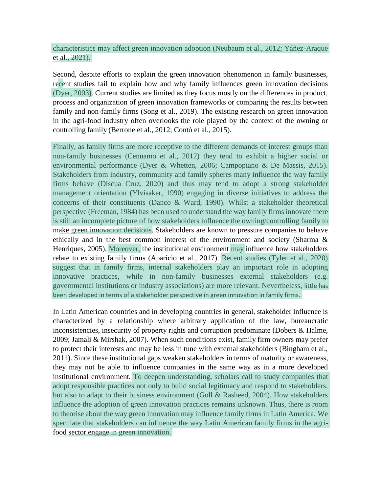characteristics may affect green innovation adoption (Neubaum et al., 2012; Yáñez-Araque et al., 2021).

Second, despite efforts to explain the green innovation phenomenon in family businesses, recent studies fail to explain how and why family influences green innovation decisions (Dyer, 2003). Current studies are limited as they focus mostly on the differences in product, process and organization of green innovation frameworks or comparing the results between family and non-family firms (Song et al., 2019). The existing research on green innovation in the agri-food industry often overlooks the role played by the context of the owning or controlling family (Berrone et al., 2012; Contò et al., 2015).

Finally, as family firms are more receptive to the different demands of interest groups than non-family businesses (Cennamo et al., 2012) they tend to exhibit a higher social or environmental performance (Dyer & Whetten, 2006; Campopiano & De Massis, 2015). Stakeholders from industry, community and family spheres many influence the way family firms behave (Discua Cruz, 2020) and thus may tend to adopt a strong stakeholder management orientation (Ylvisaker, 1990) engaging in diverse initiatives to address the concerns of their constituents (Danco & Ward, 1990). Whilst a stakeholder theoretical perspective (Freeman, 1984) has been used to understand the way family firms innovate there is still an incomplete picture of how stakeholders influence the owning/controlling family to make green innovation decisions. Stakeholders are known to pressure companies to behave ethically and in the best common interest of the environment and society (Sharma & Henriques, 2005). Moreover, the institutional environment may influence how stakeholders relate to existing family firms (Aparicio et al., 2017). Recent studies (Tyler et al., 2020) suggest that in family firms, internal stakeholders play an important role in adopting innovative practices, while in non-family businesses external stakeholders (e.g. governmental institutions or industry associations) are more relevant. Nevertheless, little has been developed in terms of a stakeholder perspective in green innovation in family firms.

In Latin American countries and in developing countries in general, stakeholder influence is characterized by a relationship where arbitrary application of the law, bureaucratic inconsistencies, insecurity of property rights and corruption predominate (Dobers & Halme, 2009; Jamali & Mirshak, 2007). When such conditions exist, family firm owners may prefer to protect their interests and may be less in tune with external stakeholders (Bingham et al., 2011). Since these institutional gaps weaken stakeholders in terms of maturity or awareness, they may not be able to influence companies in the same way as in a more developed institutional environment. To deepen understanding, scholars call to study companies that adopt responsible practices not only to build social legitimacy and respond to stakeholders, but also to adapt to their business environment (Goll & Rasheed, 2004). How stakeholders influence the adoption of green innovation practices remains unknown. Thus, there is room to theorise about the way green innovation may influence family firms in Latin America. We speculate that stakeholders can influence the way Latin American family firms in the agrifood sector engage in green innovation.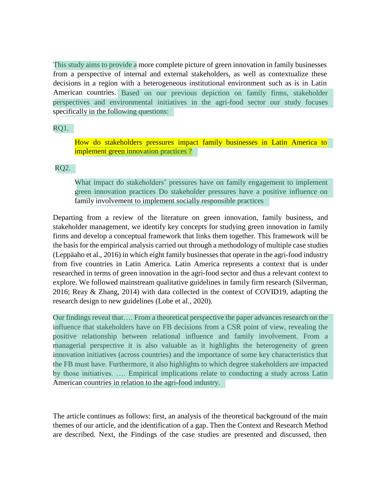American countries. Based on our previous depiction on family firms, stakeholder perspectives and environmental initiatives in the agri-food sector our study focuses specifically in the following questions: This study aims to provide a more complete picture of green innovation in family businesses from a perspective of internal and external stakeholders, as well as contextualize these decisions in a region with a heterogeneous institutional environment such as is in Latin

RQ1.

implement green innovation practices ? How do stakeholders pressures impact family businesses in Latin America to

#### RQ2.

What impact do stakeholders' pressures have on family engagement to implement green innovation practices Do stakeholder pressures have a positive influence on family involvement to implement socially responsible practices

Departing from a review of the literature on green innovation, family business, and stakeholder management, we identify key concepts for studying green innovation in family firms and develop a conceptual framework that links them together. This framework will be the basis for the empirical analysis carried out through a methodology of multiple case studies (Leppäaho et al., 2016) in which eight family businesses that operate in the agri-food industry from five countries in Latin America. Latin America represents a context that is under researched in terms of green innovation in the agri-food sector and thus a relevant context to explore. We followed mainstream qualitative guidelines in family firm research (Silverman, 2016; Reay & Zhang, 2014) with data collected in the context of COVID19, adapting the research design to new guidelines (Lobe et al., 2020).

Our findings reveal that…. From a theoretical perspective the paper advances research on the influence that stakeholders have on FB decisions from a CSR point of view, revealing the positive relationship between relational influence and family involvement. From a managerial perspective it is also valuable as it highlights the heterogeneity of green innovation initiatives (across countries) and the importance of some key characteristics that the FB must have. Furthermore, it also highlights to which degree stakeholders are impacted by those initiatives. …. Empirical implications relate to conducting a study across Latin American countries in relation to the agri-food industry.

The article continues as follows: first, an analysis of the theoretical background of the main themes of our article, and the identification of a gap. Then the Context and Research Method are described. Next, the Findings of the case studies are presented and discussed, then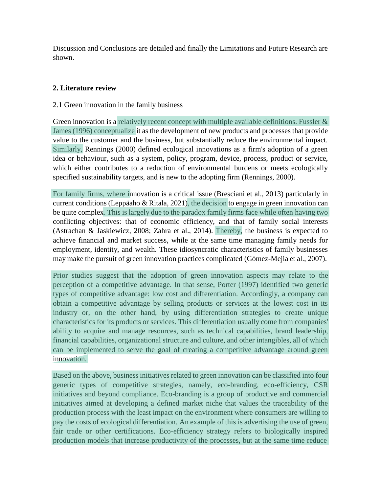Discussion and Conclusions are detailed and finally the Limitations and Future Research are shown.

## **2. Literature review**

#### 2.1 Green innovation in the family business

Green innovation is a relatively recent concept with multiple available definitions. Fussler & James (1996) conceptualize it as the development of new products and processes that provide value to the customer and the business, but substantially reduce the environmental impact. Similarly, Rennings (2000) defined ecological innovations as a firm's adoption of a green idea or behaviour, such as a system, policy, program, device, process, product or service, which either contributes to a reduction of environmental burdens or meets ecologically specified sustainability targets, and is new to the adopting firm (Rennings, 2000).

For family firms, where innovation is a critical issue (Bresciani et al., 2013) particularly in current conditions (Leppäaho & Ritala, 2021), the decision to engage in green innovation can be quite complex. This is largely due to the paradox family firms face while often having two conflicting objectives: that of economic efficiency, and that of family social interests (Astrachan & Jaskiewicz, 2008; Zahra et al., 2014). Thereby, the business is expected to achieve financial and market success, while at the same time managing family needs for employment, identity, and wealth. These idiosyncratic characteristics of family businesses may make the pursuit of green innovation practices complicated (Gómez-Mejia et al., 2007).

Prior studies suggest that the adoption of green innovation aspects may relate to the perception of a competitive advantage. In that sense, Porter (1997) identified two generic types of competitive advantage: low cost and differentiation. Accordingly, a company can obtain a competitive advantage by selling products or services at the lowest cost in its industry or, on the other hand, by using differentiation strategies to create unique characteristics for its products or services. This differentiation usually come from companies' ability to acquire and manage resources, such as technical capabilities, brand leadership, financial capabilities, organizational structure and culture, and other intangibles, all of which can be implemented to serve the goal of creating a competitive advantage around green innovation.

Based on the above, business initiatives related to green innovation can be classified into four generic types of competitive strategies, namely, eco-branding, eco-efficiency, CSR initiatives and beyond compliance. Eco-branding is a group of productive and commercial initiatives aimed at developing a defined market niche that values the traceability of the production process with the least impact on the environment where consumers are willing to pay the costs of ecological differentiation. An example of this is advertising the use of green, fair trade or other certifications. Eco-efficiency strategy refers to biologically inspired production models that increase productivity of the processes, but at the same time reduce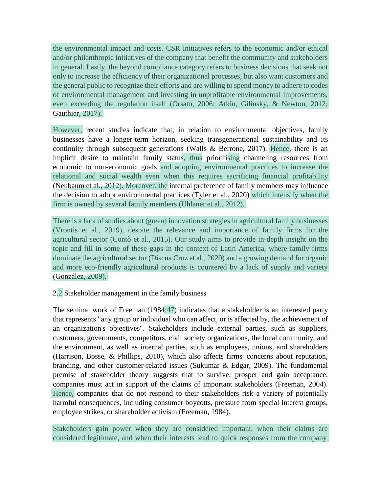the environmental impact and costs. CSR initiatives refers to the economic and/or ethical and/or philanthropic initiatives of the company that benefit the community and stakeholders in general. Lastly, the beyond compliance category refers to business decisions that seek not only to increase the efficiency of their organizational processes, but also want customers and the general public to recognize their efforts and are willing to spend money to adhere to codes of environmental management and investing in unprofitable environmental improvements, even exceeding the regulation itself (Orsato, 2006; Atkin, Gilinsky, & Newton, 2012; Gauthier, 2017).

However, recent studies indicate that, in relation to environmental objectives, family businesses have a longer-term horizon, seeking transgenerational sustainability and its continuity through subsequent generations (Walls & Berrone, 2017). Hence, there is an implicit desire to maintain family status, thus prioritising channeling resources from economic to non-economic goals and adopting environmental practices to increase the relational and social wealth even when this requires sacrificing financial profitability (Neubaum et al., 2012). Moreover, the internal preference of family members may influence the decision to adopt environmental practices (Tyler et al., 2020) which intensify when the firm is owned by several family members (Uhlaner et al., 2012).

There is a lack of studies about (green) innovation strategies in agricultural family businesses (Vrontis et al., 2019), despite the relevance and importance of family firms for the agricultural sector (Contò et al., 2015). Our study aims to provide in-depth insight on the topic and fill in some of these gaps in the context of Latin America, where family firms dominate the agricultural sector (Discua Cruz et al., 2020) and a growing demand for organic and more eco-friendly agricultural products is countered by a lack of supply and variety (González, 2009).

## 2.2 Stakeholder management in the family business

The seminal work of Freeman (1984:47) indicates that a stakeholder is an interested party that represents "any group or individual who can affect, or is affected by, the achievement of an organization's objectives". Stakeholders include external parties, such as suppliers, customers, governments, competitors, civil society organizations, the local community, and the environment, as well as internal parties, such as employees, unions, and shareholders (Harrison, Bosse, & Phillips, 2010), which also affects firms' concerns about reputation, branding, and other customer-related issues (Sukumar & Edgar, 2009). The fundamental premise of stakeholder theory suggests that to survive, prosper and gain acceptance, companies must act in support of the claims of important stakeholders (Freeman, 2004). Hence, companies that do not respond to their stakeholders risk a variety of potentially harmful consequences, including consumer boycotts, pressure from special interest groups, employee strikes, or shareholder activism (Freeman, 1984).

Stakeholders gain power when they are considered important, when their claims are considered legitimate, and when their interests lead to quick responses from the company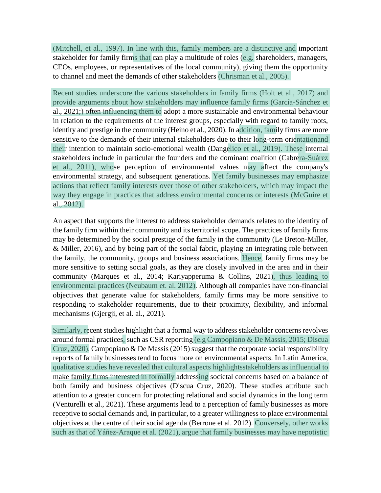(Mitchell, et al., 1997). In line with this, family members are a distinctive and important stakeholder for family firms that can play a multitude of roles (e.g. shareholders, managers, CEOs, employees, or representatives of the local community), giving them the opportunity to channel and meet the demands of other stakeholders (Chrisman et al., 2005).

Recent studies underscore the various stakeholders in family firms (Holt et al., 2017) and provide arguments about how stakeholders may influence family firms (García-Sánchez et al., 2021;) often influencing them to adopt a more sustainable and environmental behaviour in relation to the requirements of the interest groups, especially with regard to family roots, identity and prestige in the community (Heino et al., 2020). In addition, family firms are more sensitive to the demands of their internal stakeholders due to their long-term orientationand their intention to maintain socio-emotional wealth (Dangelico et al., 2019). These internal stakeholders include in particular the founders and the dominant coalition (Cabrera-Suárez et al., 2011), whose perception of environmental values may affect the company's environmental strategy, and subsequent generations. Yet family businesses may emphasize actions that reflect family interests over those of other stakeholders, which may impact the way they engage in practices that address environmental concerns or interests (McGuire et al., 2012).

An aspect that supports the interest to address stakeholder demands relates to the identity of the family firm within their community and its territorial scope. The practices of family firms may be determined by the social prestige of the family in the community (Le Breton-Miller, & Miller, 2016), and by being part of the social fabric, playing an integrating role between the family, the community, groups and business associations. Hence, family firms may be more sensitive to setting social goals, as they are closely involved in the area and in their community (Marques et al., 2014; Kariyapperuma & Collins, 2021), thus leading to environmental practices (Neubaum et. al. 2012). Although all companies have non-financial objectives that generate value for stakeholders, family firms may be more sensitive to responding to stakeholder requirements, due to their proximity, flexibility, and informal mechanisms (Gjergji, et al. al., 2021).

Similarly, recent studies highlight that a formal way to address stakeholder concerns revolves around formal practices, such as CSR reporting (e.g Campopiano & De Massis, 2015; Discua Cruz, 2020). Campopiano & De Massis(2015) suggest that the corporate social responsibility reports of family businesses tend to focus more on environmental aspects. In Latin America, qualitative studies have revealed that cultural aspects highlightsstakeholders as influential to make family firms interested in formally addressing societal concerns based on a balance of both family and business objectives (Discua Cruz, 2020). These studies attribute such attention to a greater concern for protecting relational and social dynamics in the long term (Venturelli et al., 2021). These arguments lead to a perception of family businesses as more receptive to social demands and, in particular, to a greater willingness to place environmental objectives at the centre of their social agenda (Berrone et al. 2012). Conversely, other works such as that of Yáñez-Araque et al. (2021), argue that family businesses may have nepotistic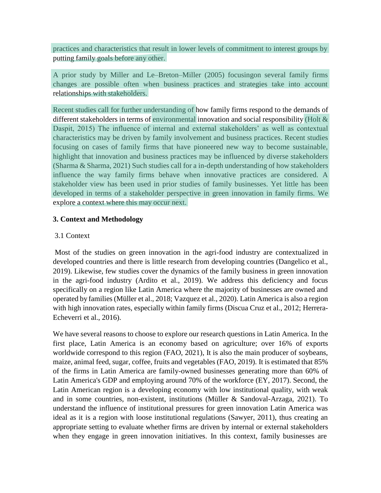practices and characteristics that result in lower levels of commitment to interest groups by putting family goals before any other.

A prior study by Miller and Le–Breton–Miller (2005) focusingon several family firms changes are possible often when business practices and strategies take into account relationships with stakeholders.

Recent studies call for further understanding of how family firms respond to the demands of different stakeholders in terms of environmental innovation and social responsibility (Holt & Daspit, 2015) The influence of internal and external stakeholders' as well as contextual characteristics may be driven by family involvement and business practices. Recent studies focusing on cases of family firms that have pioneered new way to become sustainable, highlight that innovation and business practices may be influenced by diverse stakeholders (Sharma & Sharma, 2021) Such studies call for a in-depth understanding of how stakeholders influence the way family firms behave when innovative practices are considered. A stakeholder view has been used in prior studies of family businesses. Yet little has been developed in terms of a stakeholder perspective in green innovation in family firms. We explore a context where this may occur next.

## **3. Context and Methodology**

## 3.1 Context

Most of the studies on green innovation in the agri-food industry are contextualized in developed countries and there is little research from developing countries (Dangelico et al., 2019). Likewise, few studies cover the dynamics of the family business in green innovation in the agri-food industry (Ardito et al., 2019). We address this deficiency and focus specifically on a region like Latin America where the majority of businesses are owned and operated by families(Müller et al., 2018; Vazquez et al., 2020). Latin America is also a region with high innovation rates, especially within family firms (Discua Cruz et al., 2012; Herrera-Echeverri et al., 2016).

We have several reasons to choose to explore our research questions in Latin America. In the first place, Latin America is an economy based on agriculture; over 16% of exports worldwide correspond to this region (FAO, 2021), It is also the main producer of soybeans, maize, animal feed, sugar, coffee, fruits and vegetables (FAO, 2019). It is estimated that 85% of the firms in Latin America are family-owned businesses generating more than 60% of Latin America's GDP and employing around 70% of the workforce (EY, 2017). Second, the Latin American region is a developing economy with low institutional quality, with weak and in some countries, non-existent, institutions (Müller & Sandoval-Arzaga, 2021). To understand the influence of institutional pressures for green innovation Latin America was ideal as it is a region with loose institutional regulations (Sawyer, 2011), thus creating an appropriate setting to evaluate whether firms are driven by internal or external stakeholders when they engage in green innovation initiatives. In this context, family businesses are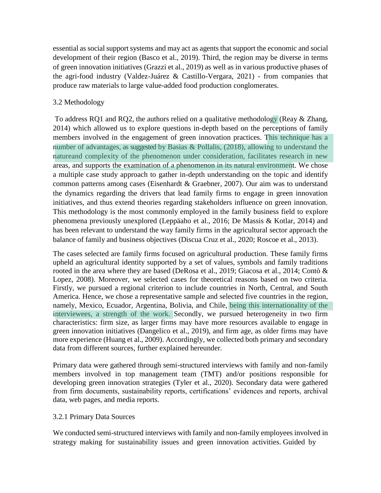essential as social support systems and may act as agents that support the economic and social development of their region (Basco et al., 2019). Third, the region may be diverse in terms of green innovation initiatives (Grazzi et al., 2019) as well as in various productive phases of the agri-food industry (Valdez-Juárez & Castillo-Vergara, 2021) - from companies that produce raw materials to large value-added food production conglomerates.

## 3.2 Methodology

To address RQ1 and RQ2, the authors relied on a qualitative methodology (Reay & Zhang, 2014) which allowed us to explore questions in-depth based on the perceptions of family members involved in the engagement of green innovation practices. This technique has a number of advantages, as suggested by Basias & Pollalis, (2018), allowing to understand the natureand complexity of the phenomenon under consideration, facilitates research in new areas, and supports the examination of a phenomenon in its natural environment. We chose a multiple case study approach to gather in-depth understanding on the topic and identify common patterns among cases (Eisenhardt & Graebner, 2007). Our aim was to understand the dynamics regarding the drivers that lead family firms to engage in green innovation initiatives, and thus extend theories regarding stakeholders influence on green innovation. This methodology is the most commonly employed in the family business field to explore phenomena previously unexplored (Leppäaho et al., 2016; De Massis & Kotlar, 2014) and has been relevant to understand the way family firms in the agricultural sector approach the balance of family and business objectives (Discua Cruz et al., 2020; Roscoe et al., 2013).

The cases selected are family firms focused on agricultural production. These family firms upheld an agricultural identity supported by a set of values, symbols and family traditions rooted in the area where they are based (DeRosa et al., 2019; Giacosa et al., 2014; Contò & Lopez, 2008). Moreover, we selected cases for theoretical reasons based on two criteria. Firstly, we pursued a regional criterion to include countries in North, Central, and South America. Hence, we chose a representative sample and selected five countries in the region, namely, Mexico, Ecuador, Argentina, Bolivia, and Chile, being this internationality of the interviewees, a strength of the work. Secondly, we pursued heterogeneity in two firm characteristics: firm size, as larger firms may have more resources available to engage in green innovation initiatives (Dangelico et al., 2019), and firm age, as older firms may have more experience (Huang et al., 2009). Accordingly, we collected both primary and secondary data from different sources, further explained hereunder.

Primary data were gathered through semi-structured interviews with family and non-family members involved in top management team (TMT) and/or positions responsible for developing green innovation strategies (Tyler et al., 2020). Secondary data were gathered from firm documents, sustainability reports, certifications' evidences and reports, archival data, web pages, and media reports.

## 3.2.1 Primary Data Sources

We conducted semi-structured interviews with family and non-family employees involved in strategy making for sustainability issues and green innovation activities. Guided by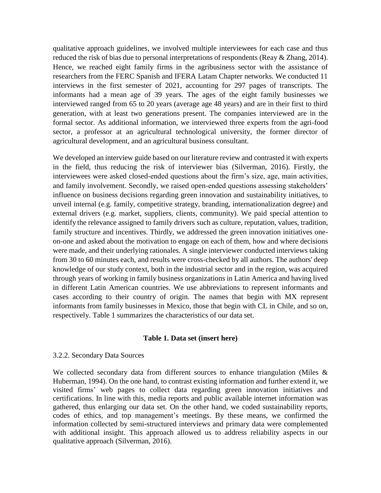qualitative approach guidelines, we involved multiple interviewees for each case and thus reduced the risk of bias due to personal interpretations of respondents (Reay & Zhang, 2014). Hence, we reached eight family firms in the agribusiness sector with the assistance of researchers from the FERC Spanish and IFERA Latam Chapter networks. We conducted 11 interviews in the first semester of 2021, accounting for 297 pages of transcripts. The informants had a mean age of 39 years. The ages of the eight family businesses we interviewed ranged from 65 to 20 years (average age 48 years) and are in their first to third generation, with at least two generations present. The companies interviewed are in the formal sector. As additional information, we interviewed three experts from the agri-food sector, a professor at an agricultural technological university, the former director of agricultural development, and an agricultural business consultant.

We developed an interview guide based on our literature review and contrasted it with experts in the field, thus reducing the risk of interviewer bias (Silverman, 2016). Firstly, the interviewees were asked closed-ended questions about the firm's size, age, main activities, and family involvement. Secondly, we raised open-ended questions assessing stakeholders' influence on business decisions regarding green innovation and sustainability initiatives, to unveil internal (e.g. family, competitive strategy, branding, internationalization degree) and external drivers (e.g. market, suppliers, clients, community). We paid special attention to identify the relevance assigned to family drivers such as culture, reputation, values, tradition, family structure and incentives. Thirdly, we addressed the green innovation initiatives oneon-one and asked about the motivation to engage on each of them, how and where decisions were made, and their underlying rationales. A single interviewer conducted interviews taking from 30 to 60 minutes each, and results were cross-checked by all authors. The authors' deep knowledge of our study context, both in the industrial sector and in the region, was acquired through years of working in family business organizations in Latin America and having lived in different Latin American countries. We use abbreviations to represent informants and cases according to their country of origin. The names that begin with MX represent informants from family businesses in Mexico, those that begin with CL in Chile, and so on, respectively. Table 1 summarizes the characteristics of our data set.

#### **Table 1. Data set (insert here)**

#### 3.2.2. Secondary Data Sources

We collected secondary data from different sources to enhance triangulation (Miles & Huberman, 1994). On the one hand, to contrast existing information and further extend it, we visited firms' web pages to collect data regarding green innovation initiatives and certifications. In line with this, media reports and public available internet information was gathered, thus enlarging our data set. On the other hand, we coded sustainability reports, codes of ethics, and top management's meetings. By these means, we confirmed the information collected by semi-structured interviews and primary data were complemented with additional insight. This approach allowed us to address reliability aspects in our qualitative approach (Silverman, 2016).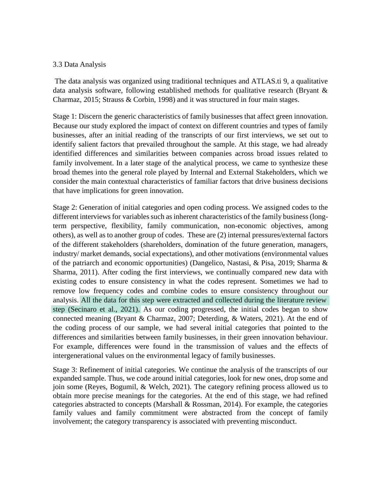#### 3.3 Data Analysis

The data analysis was organized using traditional techniques and ATLAS.ti 9, a qualitative data analysis software, following established methods for qualitative research (Bryant & Charmaz, 2015; Strauss & Corbin, 1998) and it was structured in four main stages.

Stage 1: Discern the generic characteristics of family businesses that affect green innovation. Because our study explored the impact of context on different countries and types of family businesses, after an initial reading of the transcripts of our first interviews, we set out to identify salient factors that prevailed throughout the sample. At this stage, we had already identified differences and similarities between companies across broad issues related to family involvement. In a later stage of the analytical process, we came to synthesize these broad themes into the general role played by Internal and External Stakeholders, which we consider the main contextual characteristics of familiar factors that drive business decisions that have implications for green innovation.

step (Secinaro et al., 2021). As our coding progressed, the initial codes began to show All the data for this step were extracted and collected during the literature review analysis. Stage 2: Generation of initial categories and open coding process. We assigned codes to the different interviews for variables such as inherent characteristics of the family business (longterm perspective, flexibility, family communication, non-economic objectives, among others), as well as to another group of codes. These are (2) internal pressures/external factors of the different stakeholders (shareholders, domination of the future generation, managers, industry/ market demands, social expectations), and other motivations (environmental values of the patriarch and economic opportunities) (Dangelico, Nastasi, & Pisa, 2019; Sharma & Sharma, 2011). After coding the first interviews, we continually compared new data with existing codes to ensure consistency in what the codes represent. Sometimes we had to remove low frequency codes and combine codes to ensure consistency throughout our connected meaning (Bryant & Charmaz, 2007; Deterding, & Waters, 2021). At the end of the coding process of our sample, we had several initial categories that pointed to the differences and similarities between family businesses, in their green innovation behaviour. For example, differences were found in the transmission of values and the effects of intergenerational values on the environmental legacy of family businesses.

Stage 3: Refinement of initial categories. We continue the analysis of the transcripts of our expanded sample. Thus, we code around initial categories, look for new ones, drop some and join some (Reyes, Bogumil, & Welch, 2021). The category refining process allowed us to obtain more precise meanings for the categories. At the end of this stage, we had refined categories abstracted to concepts (Marshall & Rossman, 2014). For example, the categories family values and family commitment were abstracted from the concept of family involvement; the category transparency is associated with preventing misconduct.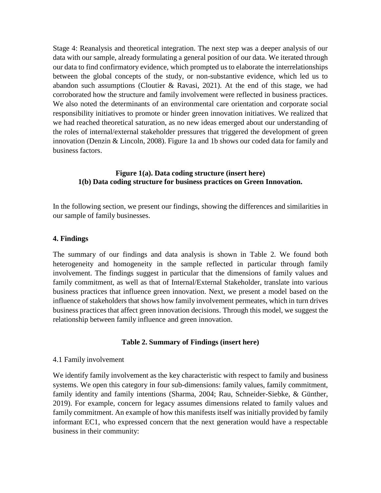Stage 4: Reanalysis and theoretical integration. The next step was a deeper analysis of our data with our sample, already formulating a general position of our data. We iterated through our data to find confirmatory evidence, which prompted us to elaborate the interrelationships between the global concepts of the study, or non-substantive evidence, which led us to abandon such assumptions (Cloutier & Ravasi, 2021). At the end of this stage, we had corroborated how the structure and family involvement were reflected in business practices. We also noted the determinants of an environmental care orientation and corporate social responsibility initiatives to promote or hinder green innovation initiatives. We realized that we had reached theoretical saturation, as no new ideas emerged about our understanding of the roles of internal/external stakeholder pressures that triggered the development of green innovation (Denzin & Lincoln, 2008). Figure 1a and 1b shows our coded data for family and business factors.

#### **Figure 1(a). Data coding structure (insert here) 1(b) Data coding structure for business practices on Green Innovation.**

In the following section, we present our findings, showing the differences and similarities in our sample of family businesses.

#### **4. Findings**

The summary of our findings and data analysis is shown in Table 2. We found both heterogeneity and homogeneity in the sample reflected in particular through family involvement. The findings suggest in particular that the dimensions of family values and family commitment, as well as that of Internal/External Stakeholder, translate into various business practices that influence green innovation. Next, we present a model based on the influence of stakeholders that shows how family involvement permeates, which in turn drives business practices that affect green innovation decisions. Through this model, we suggest the relationship between family influence and green innovation.

## **Table 2. Summary of Findings (insert here)**

#### 4.1 Family involvement

We identify family involvement as the key characteristic with respect to family and business systems. We open this category in four sub-dimensions: family values, family commitment, family identity and family intentions (Sharma, 2004; Rau, Schneider-Siebke, & Günther, 2019). For example, concern for legacy assumes dimensions related to family values and family commitment. An example of how this manifests itself was initially provided by family informant EC1, who expressed concern that the next generation would have a respectable business in their community: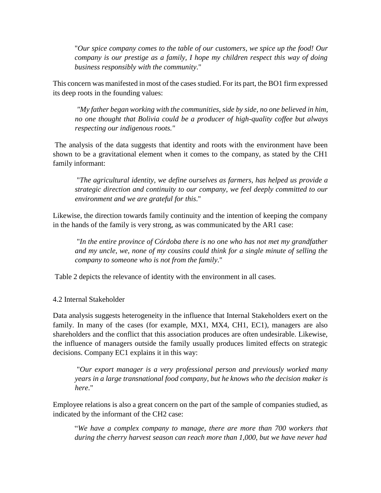"*Our spice company comes to the table of our customers, we spice up the food! Our company is our prestige as a family, I hope my children respect this way of doing business responsibly with the community*."

This concern was manifested in most of the casesstudied. For its part, the BO1 firm expressed its deep roots in the founding values:

*"My father began working with the communities, side by side, no one believed in him, no one thought that Bolivia could be a producer of high-quality coffee but always respecting our indigenous roots."*

The analysis of the data suggests that identity and roots with the environment have been shown to be a gravitational element when it comes to the company, as stated by the CH1 family informant:

"*The agricultural identity, we define ourselves as farmers, has helped us provide a strategic direction and continuity to our company, we feel deeply committed to our environment and we are grateful for this*."

Likewise, the direction towards family continuity and the intention of keeping the company in the hands of the family is very strong, as was communicated by the AR1 case:

"*In the entire province of Córdoba there is no one who has not met my grandfather and my uncle, we, none of my cousins could think for a single minute of selling the company to someone who is not from the family*."

Table 2 depicts the relevance of identity with the environment in all cases.

## 4.2 Internal Stakeholder

Data analysis suggests heterogeneity in the influence that Internal Stakeholders exert on the family. In many of the cases (for example, MX1, MX4, CH1, EC1), managers are also shareholders and the conflict that this association produces are often undesirable. Likewise, the influence of managers outside the family usually produces limited effects on strategic decisions. Company EC1 explains it in this way:

"*Our export manager is a very professional person and previously worked many years in a large transnational food company, but he knows who the decision maker is here*."

Employee relations is also a great concern on the part of the sample of companies studied, as indicated by the informant of the CH2 case:

"*We have a complex company to manage, there are more than 700 workers that during the cherry harvest season can reach more than 1,000, but we have never had*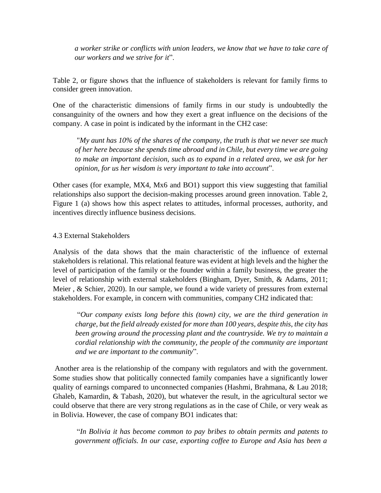*a worker strike or conflicts with union leaders, we know that we have to take care of our workers and we strive for it*".

Table 2, or figure shows that the influence of stakeholders is relevant for family firms to consider green innovation.

One of the characteristic dimensions of family firms in our study is undoubtedly the consanguinity of the owners and how they exert a great influence on the decisions of the company. A case in point is indicated by the informant in the CH2 case:

"*My aunt has 10% of the shares of the company, the truth is that we never see much of her here because she spends time abroad and in Chile, but every time we are going to make an important decision, such as to expand in a related area, we ask for her opinion, for us her wisdom is very important to take into account*".

Other cases (for example, MX4, Mx6 and BO1) support this view suggesting that familial relationships also support the decision-making processes around green innovation. Table 2, Figure 1 (a) shows how this aspect relates to attitudes, informal processes, authority, and incentives directly influence business decisions.

#### 4.3 External Stakeholders

Analysis of the data shows that the main characteristic of the influence of external stakeholders is relational. This relational feature was evident at high levels and the higher the level of participation of the family or the founder within a family business, the greater the level of relationship with external stakeholders (Bingham, Dyer, Smith, & Adams, 2011; Meier , & Schier, 2020). In our sample, we found a wide variety of pressures from external stakeholders. For example, in concern with communities, company CH2 indicated that:

"*Our company exists long before this (town) city, we are the third generation in charge, but the field already existed for more than 100 years, despite this, the city has been growing around the processing plant and the countryside. We try to maintain a cordial relationship with the community, the people of the community are important and we are important to the community*".

Another area is the relationship of the company with regulators and with the government. Some studies show that politically connected family companies have a significantly lower quality of earnings compared to unconnected companies (Hashmi, Brahmana, & Lau 2018; Ghaleb, Kamardin, & Tabash, 2020), but whatever the result, in the agricultural sector we could observe that there are very strong regulations as in the case of Chile, or very weak as in Bolivia. However, the case of company BO1 indicates that:

"*In Bolivia it has become common to pay bribes to obtain permits and patents to government officials. In our case, exporting coffee to Europe and Asia has been a*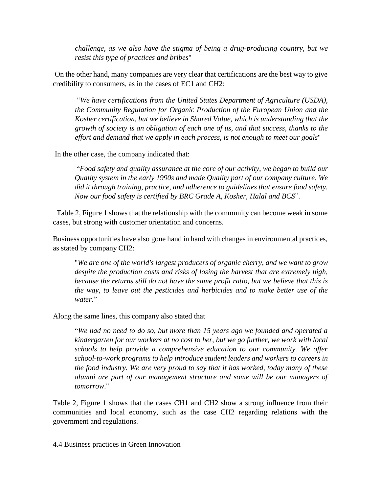*challenge, as we also have the stigma of being a drug-producing country, but we resist this type of practices and bribes*"

On the other hand, many companies are very clear that certifications are the best way to give credibility to consumers, as in the cases of EC1 and CH2:

"*We have certifications from the United States Department of Agriculture (USDA), the Community Regulation for Organic Production of the European Union and the Kosher certification, but we believe in Shared Value, which is understanding that the growth of society is an obligation of each one of us, and that success, thanks to the effort and demand that we apply in each process, is not enough to meet our goals*"

In the other case, the company indicated that:

"*Food safety and quality assurance at the core of our activity, we began to build our Quality system in the early 1990s and made Quality part of our company culture. We did it through training, practice, and adherence to guidelines that ensure food safety. Now our food safety is certified by BRC Grade A, Kosher, Halal and BCS*".

Table 2, Figure 1 shows that the relationship with the community can become weak in some cases, but strong with customer orientation and concerns.

Business opportunities have also gone hand in hand with changes in environmental practices, as stated by company CH2:

"*We are one of the world's largest producers of organic cherry, and we want to grow despite the production costs and risks of losing the harvest that are extremely high, because the returns still do not have the same profit ratio, but we believe that this is the way, to leave out the pesticides and herbicides and to make better use of the water.*"

## Along the same lines, this company also stated that

"*We had no need to do so, but more than 15 years ago we founded and operated a kindergarten for our workers at no cost to her, but we go further, we work with local schools to help provide a comprehensive education to our community. We offer school-to-work programs to help introduce student leaders and workers to careers in the food industry. We are very proud to say that it has worked, today many of these alumni are part of our management structure and some will be our managers of tomorrow*."

Table 2, Figure 1 shows that the cases CH1 and CH2 show a strong influence from their communities and local economy, such as the case CH2 regarding relations with the government and regulations.

4.4 Business practices in Green Innovation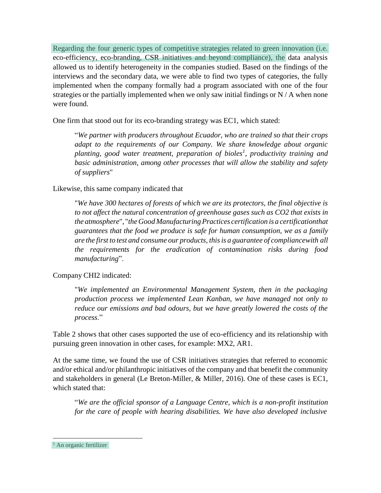Regarding the four generic types of competitive strategies related to green innovation (i.e. eco-efficiency, eco-branding, CSR initiatives and beyond compliance), the data analysis allowed us to identify heterogeneity in the companies studied. Based on the findings of the interviews and the secondary data, we were able to find two types of categories, the fully implemented when the company formally had a program associated with one of the four strategies or the partially implemented when we only saw initial findings or N / A when none were found.

One firm that stood out for its eco-branding strategy was EC1, which stated:

"*We partner with producers throughout Ecuador, who are trained so that their crops adapt to the requirements of our Company. We share knowledge about organic planting, good water treatment, preparation of bioles<sup>1</sup> , productivity training and basic administration, among other processes that will allow the stability and safety of suppliers*"

## Likewise, this same company indicated that

"*We have 300 hectares of forests of which we are its protectors, the final objective is to not affect the natural concentration of greenhouse gases such as CO2 that exists in the atmosphere*", "*the Good Manufacturing Practices certification is a certificationthat guarantees that the food we produce is safe for human consumption, we as a family are the first to test and consume our products, thisis a guarantee of compliancewith all the requirements for the eradication of contamination risks during food manufacturing*".

# Company CHI2 indicated:

"*We implemented an Environmental Management System, then in the packaging production process we implemented Lean Kanban, we have managed not only to reduce our emissions and bad odours, but we have greatly lowered the costs of the process*."

Table 2 shows that other cases supported the use of eco-efficiency and its relationship with pursuing green innovation in other cases, for example: MX2, AR1.

At the same time, we found the use of CSR initiatives strategies that referred to economic and/or ethical and/or philanthropic initiatives of the company and that benefit the community and stakeholders in general (Le Breton-Miller, & Miller, 2016). One of these cases is EC1, which stated that:

"*We are the official sponsor of a Language Centre, which is a non-profit institution for the care of people with hearing disabilities. We have also developed inclusive*

<sup>&</sup>lt;sup>1</sup> An organic fertilizer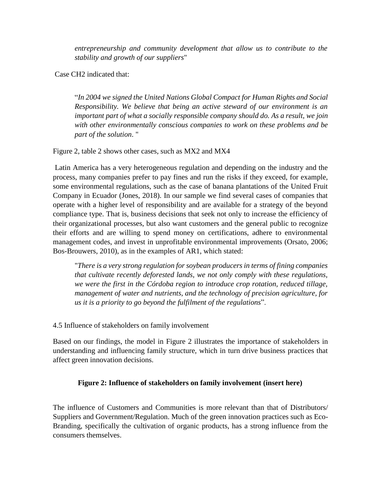*entrepreneurship and community development that allow us to contribute to the stability and growth of our suppliers*"

Case CH2 indicated that:

"*In 2004 we signed the United Nations Global Compact for Human Rights and Social Responsibility. We believe that being an active steward of our environment is an important part of what a socially responsible company should do. As a result, we join with other environmentally conscious companies to work on these problems and be part of the solution*. "

Figure 2, table 2 shows other cases, such as MX2 and MX4

Latin America has a very heterogeneous regulation and depending on the industry and the process, many companies prefer to pay fines and run the risks if they exceed, for example, some environmental regulations, such as the case of banana plantations of the United Fruit Company in Ecuador (Jones, 2018). In our sample we find several cases of companies that operate with a higher level of responsibility and are available for a strategy of the beyond compliance type. That is, business decisions that seek not only to increase the efficiency of their organizational processes, but also want customers and the general public to recognize their efforts and are willing to spend money on certifications, adhere to environmental management codes, and invest in unprofitable environmental improvements (Orsato, 2006; Bos-Brouwers, 2010), as in the examples of AR1, which stated:

"*There is a very strong regulation for soybean producers in terms of fining companies that cultivate recently deforested lands, we not only comply with these regulations, we were the first in the Córdoba region to introduce crop rotation, reduced tillage, management of water and nutrients, and the technology of precision agriculture, for us it is a priority to go beyond the fulfilment of the regulations*".

4.5 Influence of stakeholders on family involvement

Based on our findings, the model in Figure 2 illustrates the importance of stakeholders in understanding and influencing family structure, which in turn drive business practices that affect green innovation decisions.

# **Figure 2: Influence of stakeholders on family involvement (insert here)**

The influence of Customers and Communities is more relevant than that of Distributors/ Suppliers and Government/Regulation. Much of the green innovation practices such as Eco-Branding, specifically the cultivation of organic products, has a strong influence from the consumers themselves.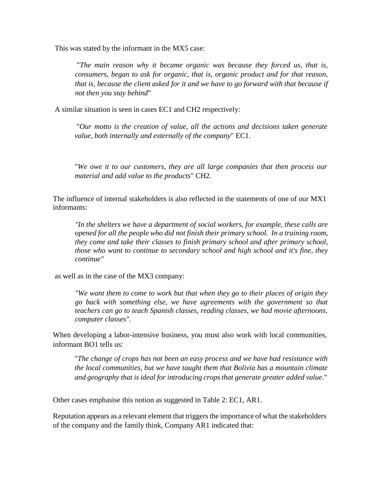This was stated by the informant in the MX5 case:

"*The main reason why it became organic was because they forced us, that is, consumers, began to ask for organic, that is, organic product and for that reason, that is, because the client asked for it and we have to go forward with that because if not then you stay behind*"

A similar situation is seen in cases EC1 and CH2 respectively:

"*Our motto is the creation of value, all the actions and decisions taken generate value, both internally and externally of the company*" EC1.

"*We owe it to our customers, they are all large companies that then process our material and add value to the products*" CH2.

The influence of internal stakeholders is also reflected in the statements of one of our MX1 informants:

*"In the shelters we have a department of social workers, for example, these calls are opened for all the people who did not finish their primary school. In a training room, they come and take their classes to finish primary school and after primary school, those who want to continue to secondary school and high school and it's fine, they continue"*

as well as in the case of the MX3 company:

*"We want them to come to work but that when they go to their places of origin they go back with something else, we have agreements with the government so that teachers can go to teach Spanish classes, reading classes, we had movie afternoons, computer classes".*

When developing a labor-intensive business, you must also work with local communities, informant BO1 tells us:

"*The change of crops has not been an easy process and we have had resistance with the local communities, but we have taught them that Bolivia has a mountain climate and geography that isideal for introducing crops that generate greater added value*."

Other cases emphasise this notion as suggested in Table 2: EC1, AR1.

Reputation appears as a relevant element that triggers the importance of what the stakeholders of the company and the family think, Company AR1 indicated that: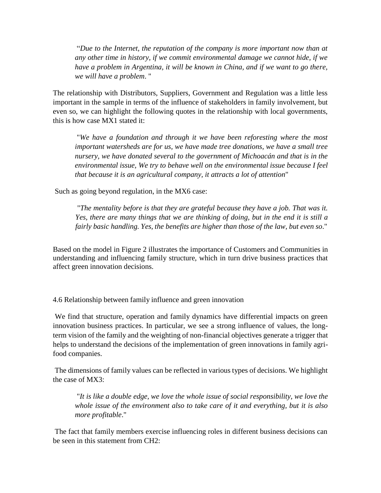"*Due to the Internet, the reputation of the company is more important now than at any other time in history, if we commit environmental damage we cannot hide, if we have a problem in Argentina, it will be known in China, and if we want to go there, we will have a problem*. "

The relationship with Distributors, Suppliers, Government and Regulation was a little less important in the sample in terms of the influence of stakeholders in family involvement, but even so, we can highlight the following quotes in the relationship with local governments, this is how case MX1 stated it:

"*We have a foundation and through it we have been reforesting where the most important watersheds are for us, we have made tree donations, we have a small tree nursery, we have donated several to the government of Michoacán and that is in the environmental issue, We try to behave well on the environmental issue because I feel that because it is an agricultural company, it attracts a lot of attention*"

Such as going beyond regulation, in the MX6 case:

"*The mentality before is that they are grateful because they have a job. That was it. Yes, there are many things that we are thinking of doing, but in the end it is still a fairly basic handling. Yes, the benefits are higher than those of the law, but even so*."

Based on the model in Figure 2 illustrates the importance of Customers and Communities in understanding and influencing family structure, which in turn drive business practices that affect green innovation decisions.

4.6 Relationship between family influence and green innovation

We find that structure, operation and family dynamics have differential impacts on green innovation business practices. In particular, we see a strong influence of values, the longterm vision of the family and the weighting of non-financial objectives generate a trigger that helps to understand the decisions of the implementation of green innovations in family agrifood companies.

The dimensions of family values can be reflected in various types of decisions. We highlight the case of MX3:

"*It is like a double edge, we love the whole issue of social responsibility, we love the whole issue of the environment also to take care of it and everything, but it is also more profitable*."

The fact that family members exercise influencing roles in different business decisions can be seen in this statement from CH2: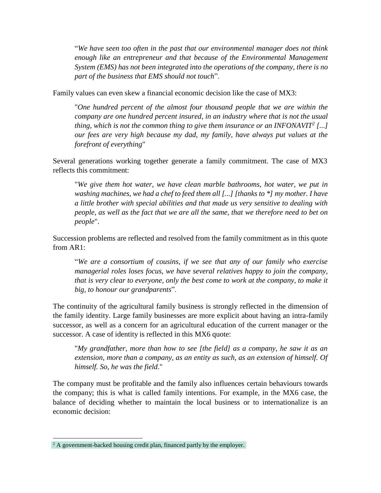"*We have seen too often in the past that our environmental manager does not think enough like an entrepreneur and that because of the Environmental Management System (EMS) has not been integrated into the operations of the company, there is no part of the business that EMS should not touch*".

Family values can even skew a financial economic decision like the case of MX3:

"*One hundred percent of the almost four thousand people that we are within the company are one hundred percent insured, in an industry where that is not the usual thing, which is not the common thing to give them insurance or an INFONAVIT<sup>2</sup> [...] our fees are very high because my dad, my family, have always put values at the forefront of everything*"

Several generations working together generate a family commitment. The case of MX3 reflects this commitment:

"*We give them hot water, we have clean marble bathrooms, hot water, we put in washing machines, we had a chef to feed them all [...] [thanks to \*] my mother. I have a little brother with special abilities and that made us very sensitive to dealing with people, as well as the fact that we are all the same, that we therefore need to bet on people*".

Succession problems are reflected and resolved from the family commitment as in this quote from AR1:

"*We are a consortium of cousins, if we see that any of our family who exercise managerial roles loses focus, we have several relatives happy to join the company, that is very clear to everyone, only the best come to work at the company, to make it big, to honour our grandparents*".

The continuity of the agricultural family business is strongly reflected in the dimension of the family identity. Large family businesses are more explicit about having an intra-family successor, as well as a concern for an agricultural education of the current manager or the successor. A case of identity is reflected in this MX6 quote:

"*My grandfather, more than how to see [the field] as a company, he saw it as an extension, more than a company, as an entity as such, as an extension of himself. Of himself. So, he was the field*."

The company must be profitable and the family also influences certain behaviours towards the company; this is what is called family intentions. For example, in the MX6 case, the balance of deciding whether to maintain the local business or to internationalize is an economic decision:

<sup>&</sup>lt;sup>2</sup> A government-backed housing credit plan, financed partly by the employer.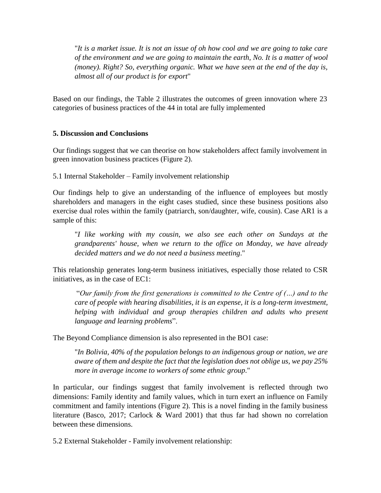"*It is a market issue. It is not an issue of oh how cool and we are going to take care of the environment and we are going to maintain the earth, No. It is a matter of wool (money). Right? So, everything organic. What we have seen at the end of the day is, almost all of our product is for export*"

Based on our findings, the Table 2 illustrates the outcomes of green innovation where 23 categories of business practices of the 44 in total are fully implemented

## **5. Discussion and Conclusions**

Our findings suggest that we can theorise on how stakeholders affect family involvement in green innovation business practices (Figure 2).

5.1 Internal Stakeholder – Family involvement relationship

Our findings help to give an understanding of the influence of employees but mostly shareholders and managers in the eight cases studied, since these business positions also exercise dual roles within the family (patriarch, son/daughter, wife, cousin). Case AR1 is a sample of this:

"*I like working with my cousin, we also see each other on Sundays at the grandparents' house, when we return to the office on Monday, we have already decided matters and we do not need a business meeting*."

This relationship generates long-term business initiatives, especially those related to CSR initiatives, as in the case of EC1:

"*Our family from the first generations is committed to the Centre of (…) and to the care of people with hearing disabilities, it is an expense, it is a long-term investment, helping with individual and group therapies children and adults who present language and learning problems*".

The Beyond Compliance dimension is also represented in the BO1 case:

"*In Bolivia, 40% of the population belongs to an indigenous group or nation, we are aware of them and despite the fact that the legislation does not oblige us, we pay 25% more in average income to workers of some ethnic group*."

In particular, our findings suggest that family involvement is reflected through two dimensions: Family identity and family values, which in turn exert an influence on Family commitment and family intentions (Figure 2). This is a novel finding in the family business literature (Basco, 2017; Carlock & Ward 2001) that thus far had shown no correlation between these dimensions.

5.2 External Stakeholder - Family involvement relationship: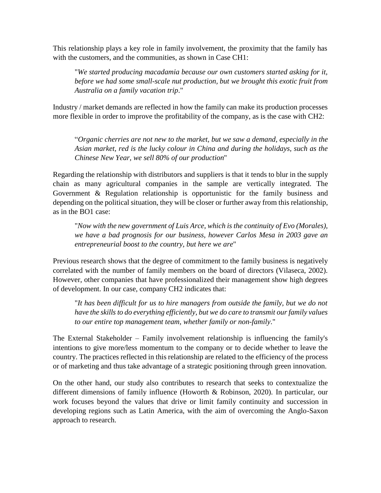This relationship plays a key role in family involvement, the proximity that the family has with the customers, and the communities, as shown in Case CH1:

"*We started producing macadamia because our own customers started asking for it, before we had some small-scale nut production, but we brought this exotic fruit from Australia on a family vacation trip*."

Industry / market demands are reflected in how the family can make its production processes more flexible in order to improve the profitability of the company, as is the case with CH2:

"*Organic cherries are not new to the market, but we saw a demand, especially in the Asian market, red is the lucky colour in China and during the holidays, such as the Chinese New Year, we sell 80% of our production*"

Regarding the relationship with distributors and suppliers is that it tends to blur in the supply chain as many agricultural companies in the sample are vertically integrated. The Government & Regulation relationship is opportunistic for the family business and depending on the political situation, they will be closer or further away from this relationship, as in the BO1 case:

"*Now with the new government of Luis Arce, which is the continuity of Evo (Morales), we have a bad prognosis for our business, however Carlos Mesa in 2003 gave an entrepreneurial boost to the country, but here we are*"

Previous research shows that the degree of commitment to the family business is negatively correlated with the number of family members on the board of directors (Vilaseca, 2002). However, other companies that have professionalized their management show high degrees of development. In our case, company CH2 indicates that:

"*It has been difficult for us to hire managers from outside the family, but we do not have the skills to do everything efficiently, but we do care to transmit ourfamily values to our entire top management team, whether family or non-family*."

The External Stakeholder – Family involvement relationship is influencing the family's intentions to give more/less momentum to the company or to decide whether to leave the country. The practices reflected in this relationship are related to the efficiency of the process or of marketing and thus take advantage of a strategic positioning through green innovation.

On the other hand, our study also contributes to research that seeks to contextualize the different dimensions of family influence (Howorth & Robinson, 2020). In particular, our work focuses beyond the values that drive or limit family continuity and succession in developing regions such as Latin America, with the aim of overcoming the Anglo-Saxon approach to research.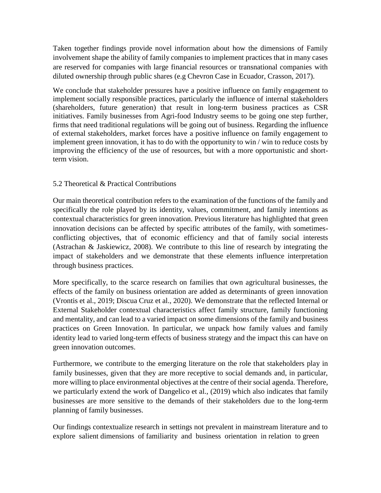Taken together findings provide novel information about how the dimensions of Family involvement shape the ability of family companies to implement practices that in many cases are reserved for companies with large financial resources or transnational companies with diluted ownership through public shares (e.g Chevron Case in Ecuador, Crasson, 2017).

We conclude that stakeholder pressures have a positive influence on family engagement to implement socially responsible practices, particularly the influence of internal stakeholders (shareholders, future generation) that result in long-term business practices as CSR initiatives. Family businesses from Agri-food Industry seems to be going one step further, firms that need traditional regulations will be going out of business. Regarding the influence of external stakeholders, market forces have a positive influence on family engagement to implement green innovation, it has to do with the opportunity to win / win to reduce costs by improving the efficiency of the use of resources, but with a more opportunistic and shortterm vision.

## 5.2 Theoretical & Practical Contributions

Our main theoretical contribution refers to the examination of the functions of the family and specifically the role played by its identity, values, commitment, and family intentions as contextual characteristics for green innovation. Previous literature has highlighted that green innovation decisions can be affected by specific attributes of the family, with sometimesconflicting objectives, that of economic efficiency and that of family social interests (Astrachan & Jaskiewicz, 2008). We contribute to this line of research by integrating the impact of stakeholders and we demonstrate that these elements influence interpretation through business practices.

More specifically, to the scarce research on families that own agricultural businesses, the effects of the family on business orientation are added as determinants of green innovation (Vrontis et al., 2019; Discua Cruz et al., 2020). We demonstrate that the reflected Internal or External Stakeholder contextual characteristics affect family structure, family functioning and mentality, and can lead to a varied impact on some dimensions of the family and business practices on Green Innovation. In particular, we unpack how family values and family identity lead to varied long-term effects of business strategy and the impact this can have on green innovation outcomes.

Furthermore, we contribute to the emerging literature on the role that stakeholders play in family businesses, given that they are more receptive to social demands and, in particular, more willing to place environmental objectives at the centre of their social agenda. Therefore, we particularly extend the work of Dangelico et al., (2019) which also indicates that family businesses are more sensitive to the demands of their stakeholders due to the long-term planning of family businesses.

Our findings contextualize research in settings not prevalent in mainstream literature and to explore salient dimensions of familiarity and business orientation in relation to green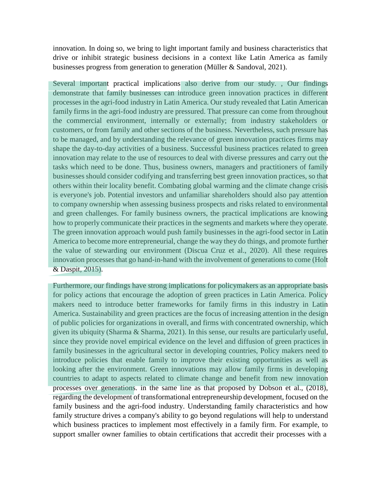innovation. In doing so, we bring to light important family and business characteristics that drive or inhibit strategic business decisions in a context like Latin America as family businesses progress from generation to generation (Müller & Sandoval, 2021).

Several important practical implications also derive from our study. , Our findings demonstrate that family businesses can introduce green innovation practices in different processes in the agri-food industry in Latin America. Our study revealed that Latin American family firms in the agri-food industry are pressured. That pressure can come from throughout the commercial environment, internally or externally; from industry stakeholders or customers, or from family and other sections of the business. Nevertheless, such pressure has to be managed, and by understanding the relevance of green innovation practices firms may shape the day-to-day activities of a business. Successful business practices related to green innovation may relate to the use of resources to deal with diverse pressures and carry out the tasks which need to be done. Thus, business owners, managers and practitioners of family businesses should consider codifying and transferring best green innovation practices, so that others within their locality benefit. Combating global warming and the climate change crisis is everyone's job. Potential investors and unfamiliar shareholders should also pay attention to company ownership when assessing business prospects and risks related to environmental and green challenges. For family business owners, the practical implications are knowing how to properly communicate their practices in the segments and markets where they operate. The green innovation approach would push family businesses in the agri-food sector in Latin America to become more entrepreneurial, change the way they do things, and promote further the value of stewarding our environment (Discua Cruz et al., 2020). All these requires innovation processes that go hand-in-hand with the involvement of generations to come (Holt & Daspit, 2015).

Furthermore, our findings have strong implications for policymakers as an appropriate basis for policy actions that encourage the adoption of green practices in Latin America. Policy makers need to introduce better frameworks for family firms in this industry in Latin America. Sustainability and green practices are the focus of increasing attention in the design of public policies for organizations in overall, and firms with concentrated ownership, which given its ubiquity (Sharma & Sharma, 2021). In this sense, our results are particularly useful, since they provide novel empirical evidence on the level and diffusion of green practices in family businesses in the agricultural sector in developing countries, Policy makers need to introduce policies that enable family to improve their existing opportunities as well as looking after the environment. Green innovations may allow family firms in developing countries to adapt to aspects related to climate change and benefit from new innovation processes over generations. in the same line as that proposed by Dobson et al., (2018), regarding the development of transformational entrepreneurship development, focused on the family business and the agri-food industry. Understanding family characteristics and how family structure drives a company's ability to go beyond regulations will help to understand which business practices to implement most effectively in a family firm. For example, to support smaller owner families to obtain certifications that accredit their processes with a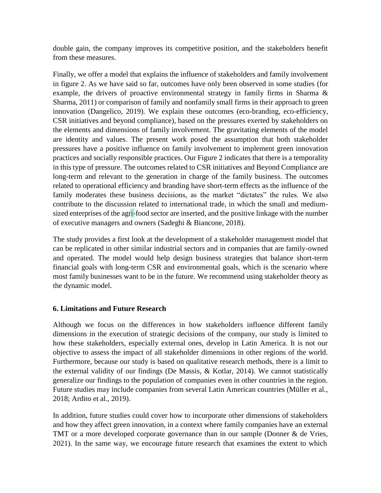double gain, the company improves its competitive position, and the stakeholders benefit from these measures.

Finally, we offer a model that explains the influence of stakeholders and family involvement in figure 2. As we have said so far, outcomes have only been observed in some studies (for example, the drivers of proactive environmental strategy in family firms in Sharma & Sharma, 2011) or comparison of family and nonfamily small firms in their approach to green innovation (Dangelico, 2019). We explain these outcomes (eco-branding, eco-efficiency, CSR initiatives and beyond compliance), based on the pressures exerted by stakeholders on the elements and dimensions of family involvement. The gravitating elements of the model are identity and values. The present work posed the assumption that both stakeholder pressures have a positive influence on family involvement to implement green innovation practices and socially responsible practices. Our Figure 2 indicates that there is a temporality in this type of pressure. The outcomes related to CSR initiatives and Beyond Compliance are long-term and relevant to the generation in charge of the family business. The outcomes related to operational efficiency and branding have short-term effects as the influence of the family moderates these business decisions, as the market "dictates" the rules. We also contribute to the discussion related to international trade, in which the small and mediumsized enterprises of the agri-food sector are inserted, and the positive linkage with the number of executive managers and owners (Sadeghi & Biancone, 2018).

The study provides a first look at the development of a stakeholder management model that can be replicated in other similar industrial sectors and in companies that are family-owned and operated. The model would help design business strategies that balance short-term financial goals with long-term CSR and environmental goals, which is the scenario where most family businesses want to be in the future. We recommend using stakeholder theory as the dynamic model.

# **6. Limitations and Future Research**

Although we focus on the differences in how stakeholders influence different family dimensions in the execution of strategic decisions of the company, our study is limited to how these stakeholders, especially external ones, develop in Latin America. It is not our objective to assess the impact of all stakeholder dimensions in other regions of the world. Furthermore, because our study is based on qualitative research methods, there is a limit to the external validity of our findings (De Massis, & Kotlar, 2014). We cannot statistically generalize our findings to the population of companies even in other countries in the region. Future studies may include companies from several Latin American countries (Müller et al., 2018; Ardito et al., 2019).

In addition, future studies could cover how to incorporate other dimensions of stakeholders and how they affect green innovation, in a context where family companies have an external TMT or a more developed corporate governance than in our sample (Donner & de Vries, 2021). In the same way, we encourage future research that examines the extent to which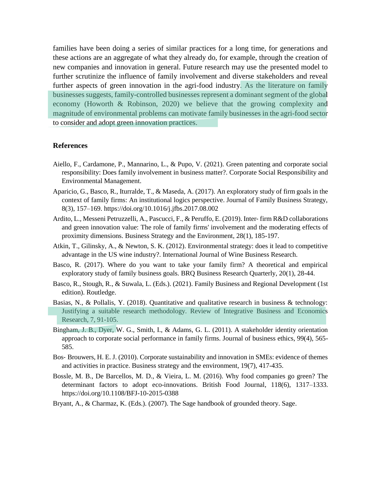families have been doing a series of similar practices for a long time, for generations and these actions are an aggregate of what they already do, for example, through the creation of new companies and innovation in general. Future research may use the presented model to further scrutinize the influence of family involvement and diverse stakeholders and reveal further aspects of green innovation in the agri-food industry. As the literature on family businesses suggests, family-controlled businesses represent a dominant segment of the global economy (Howorth & Robinson, 2020) we believe that the growing complexity and magnitude of environmental problems can motivate family businesses in the agri-food sector to consider and adopt green innovation practices.

#### **References**

- Aiello, F., Cardamone, P., Mannarino, L., & Pupo, V. (2021). Green patenting and corporate social responsibility: Does family involvement in business matter?. Corporate Social Responsibility and Environmental Management.
- Aparicio, G., Basco, R., Iturralde, T., & Maseda, A. (2017). An exploratory study of firm goals in the context of family firms: An institutional logics perspective. Journal of Family Business Strategy, 8(3), 157–169. https://doi.org/10.1016/j.jfbs.2017.08.002
- Ardito, L., Messeni Petruzzelli, A., Pascucci, F., & Peruffo, E. (2019). Inter‐ firm R&D collaborations and green innovation value: The role of family firms' involvement and the moderating effects of proximity dimensions. Business Strategy and the Environment, 28(1), 185-197.
- Atkin, T., Gilinsky, A., & Newton, S. K. (2012). Environmental strategy: does it lead to competitive advantage in the US wine industry?. International Journal of Wine Business Research.
- Basco, R. (2017). Where do you want to take your family firm? A theoretical and empirical exploratory study of family business goals. BRQ Business Research Quarterly, 20(1), 28-44.
- Basco, R., Stough, R., & Suwala, L. (Eds.). (2021). Family Business and Regional Development (1st edition). Routledge.
- Basias, N., & Pollalis, Y. (2018). Quantitative and qualitative research in business & technology: Justifying a suitable research methodology. Review of Integrative Business and Economics Research, 7, 91-105.
- Bingham, J. B., Dyer, W. G., Smith, I., & Adams, G. L. (2011). A stakeholder identity orientation approach to corporate social performance in family firms. Journal of business ethics, 99(4), 565- 585.
- Bos‐ Brouwers, H. E. J. (2010). Corporate sustainability and innovation in SMEs: evidence of themes and activities in practice. Business strategy and the environment, 19(7), 417-435.
- Bossle, M. B., De Barcellos, M. D., & Vieira, L. M. (2016). Why food companies go green? The determinant factors to adopt eco-innovations. British Food Journal, 118(6), 1317–1333. https://doi.org/10.1108/BFJ-10-2015-0388
- Bryant, A., & Charmaz, K. (Eds.). (2007). The Sage handbook of grounded theory. Sage.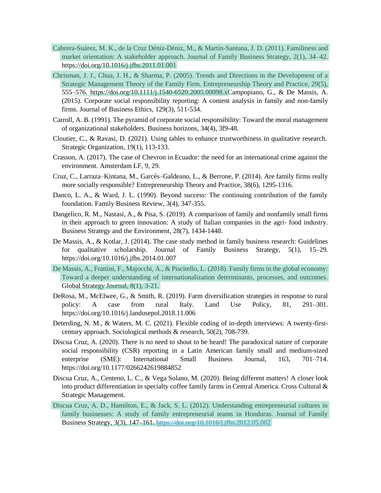- Cabrera-Suárez, M. K., de la Cruz Déniz-Déniz, M., & Martín-Santana, J. D. (2011). Familiness and market orientation: A stakeholder approach. Journal of Family Business Strategy, 2(1), 34–42. https://doi.org/10.1016/j.jfbs.2011.01.001
- Chrisman, J. J., Chua, J. H., & Sharma, P. (2005). Trends and Directions in the Development of a Strategic Management Theory of the Family Firm. Entrepreneurship Theory and Practice, 29(5), 555–576. https://doi.org/10.1111/j.1540-6520.2005.00098.xCampopiano, G., & De Massis, A. (2015). Corporate social responsibility reporting: A content analysis in family and non-family firms. Journal of Business Ethics, 129(3), 511-534.
- Carroll, A. B. (1991). The pyramid of corporate social responsibility: Toward the moral management of organizational stakeholders. Business horizons, 34(4), 3f9-48.
- Cloutier, C., & Ravasi, D. (2021). Using tables to enhance trustworthiness in qualitative research. Strategic Organization, 19(1), 113-133.
- Crasson, A. (2017). The case of Chevron in Ecuador: the need for an international crime against the environment. Amsterdam LF, 9, 29.
- Cruz, C., Larraza–Kintana, M., Garcés–Galdeano, L., & Berrone, P. (2014). Are family firms really more socially responsible? Entrepreneurship Theory and Practice, 38(6), 1295-1316.
- Danco, L. A., & Ward, J. L. (1990). Beyond success: The continuing contribution of the family foundation. Family Business Review, 3(4), 347-355.
- Dangelico, R. M., Nastasi, A., & Pisa, S. (2019). A comparison of family and nonfamily small firms in their approach to green innovation: A study of Italian companies in the agri-food industry. Business Strategy and the Environment, 28(7), 1434-1448.
- De Massis, A., & Kotlar, J. (2014). The case study method in family business research: Guidelines for qualitative scholarship. Journal of Family Business Strategy, 5(1), 15–29. https://doi.org/10.1016/j.jfbs.2014.01.007
- De Massis, A., Frattini, F., Majocchi, A., & Piscitello, L. (2018). Family firms in the global economy: Toward a deeper understanding of internationalization determinants, processes, and outcomes. Global Strategy Journal, 8(1), 3-21.
- DeRosa, M., McElwee, G., & Smith, R. (2019). Farm diversification strategies in response to rural policy: A case from rural Italy. Land Use Policy, 81, 291–301. https://doi.org/10.1016/j.landusepol.2018.11.006
- Deterding, N. M., & Waters, M. C. (2021). Flexible coding of in-depth interviews: A twenty-firstcentury approach. Sociological methods & research, 50(2), 708-739.
- Discua Cruz, A. (2020). There is no need to shout to be heard! The paradoxical nature of corporate social responsibility (CSR) reporting in a Latin American family small and medium-sized enterprise (SME): International Small Business Journal, 163, 701–714. https://doi.org/10.1177/0266242619884852
- Discua Cruz, A., Centeno, L. C., & Vega Solano, M. (2020). Being different matters! A closer look into product differentiation in specialty coffee family farms in Central America. Cross Cultural & Strategic Management.
- Discua Cruz, A. D., Hamilton, E., & Jack, S. L. (2012). Understanding entrepreneurial cultures in family businesses: A study of family entrepreneurial teams in Honduras. Journal of Family Business Strategy, 3(3), 147–161.<https://doi.org/10.1016/j.jfbs.2012.05.002>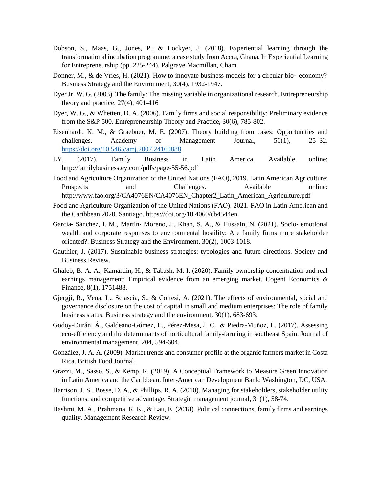- Dobson, S., Maas, G., Jones, P., & Lockyer, J. (2018). Experiential learning through the transformational incubation programme: a case study from Accra, Ghana. In Experiential Learning for Entrepreneurship (pp. 225-244). Palgrave Macmillan, Cham.
- Donner, M., & de Vries, H. (2021). How to innovate business models for a circular bio-economy? Business Strategy and the Environment, 30(4), 1932-1947.
- Dyer Jr, W. G. (2003). The family: The missing variable in organizational research. Entrepreneurship theory and practice, 27(4), 401-416
- Dyer, W. G., & Whetten, D. A. (2006). Family firms and social responsibility: Preliminary evidence from the S&P 500. Entrepreneurship Theory and Practice, 30(6), 785-802.
- Eisenhardt, K. M., & Graebner, M. E. (2007). Theory building from cases: Opportunities and challenges. Academy of Management Journal, 50(1), 25–32. <https://doi.org/10.5465/amj.2007.24160888>
- EY. (2017). Family Business in Latin America. Available online: <http://familybusiness.ey.com/pdfs/page-55-56.pdf>
- Food and Agriculture Organization of the United Nations (FAO), 2019. Latin American Agriculture: Prospects and Challenges. Available online: [http://www.fao.org/3/CA4076EN/CA4076EN\\_Chapter2\\_Latin\\_American\\_Agriculture.pdf](http://www.fao.org/3/CA4076EN/CA4076EN_Chapter2_Latin_American_Agriculture.pdf)
- Food and Agriculture Organization of the United Nations (FAO). 2021. FAO in Latin American and the Caribbean 2020. Santiago. https://doi.org/10.4060/cb4544en
- García‐ Sánchez, I. M., Martín‐ Moreno, J., Khan, S. A., & Hussain, N. (2021). Socio‐ emotional wealth and corporate responses to environmental hostility: Are family firms more stakeholder oriented?. Business Strategy and the Environment, 30(2), 1003-1018.
- Gauthier, J. (2017). Sustainable business strategies: typologies and future directions. Society and Business Review.
- Ghaleb, B. A. A., Kamardin, H., & Tabash, M. I. (2020). Family ownership concentration and real earnings management: Empirical evidence from an emerging market. Cogent Economics & Finance, 8(1), 1751488.
- Gjergji, R., Vena, L., Sciascia, S., & Cortesi, A. (2021). The effects of environmental, social and governance disclosure on the cost of capital in small and medium enterprises: The role of family business status. Business strategy and the environment, 30(1), 683-693.
- Godoy-Durán, Á., Galdeano-Gómez, E., Pérez-Mesa, J. C., & Piedra-Muñoz, L. (2017). Assessing eco-efficiency and the determinants of horticultural family-farming in southeast Spain. Journal of environmental management, 204, 594-604.
- González, J. A. A. (2009). Market trends and consumer profile at the organic farmers market in Costa Rica. British Food Journal.
- Grazzi, M., Sasso, S., & Kemp, R. (2019). A Conceptual Framework to Measure Green Innovation in Latin America and the Caribbean. Inter-American Development Bank: Washington, DC, USA.
- Harrison, J. S., Bosse, D. A., & Phillips, R. A. (2010). Managing for stakeholders, stakeholder utility functions, and competitive advantage. Strategic management journal, 31(1), 58-74.
- Hashmi, M. A., Brahmana, R. K., & Lau, E. (2018). Political connections, family firms and earnings quality. Management Research Review.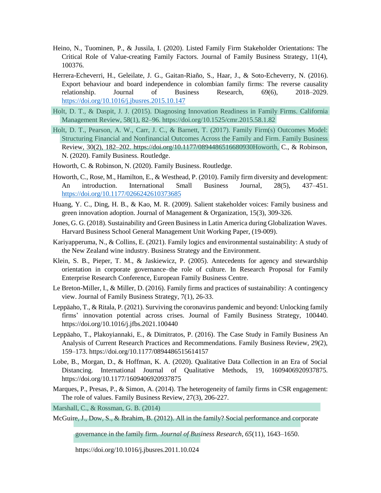- Heino, N., Tuominen, P., & Jussila, I. (2020). Listed Family Firm Stakeholder Orientations: The Critical Role of Value-creating Family Factors. Journal of Family Business Strategy, 11(4), 100376.
- Herrera-Echeverri, H., Geleilate, J. G., Gaitan-Riaño, S., Haar, J., & Soto-Echeverry, N. (2016). Export behaviour and board independence in colombian family firms: The reverse causality relationship. Journal of Business Research, 69(6), 2018–2029. <https://doi.org/10.1016/j.jbusres.2015.10.147>
- Holt, D. T., & Daspit, J. J. (2015). Diagnosing Innovation Readiness in Family Firms. California Management Review, 58(1), 82–96. https://doi.org/10.1525/cmr.2015.58.1.82
- Holt, D. T., Pearson, A. W., Carr, J. C., & Barnett, T. (2017). Family Firm(s) Outcomes Model: Structuring Financial and Nonfinancial Outcomes Across the Family and Firm. Family Business Review, 30(2), 182–202. https://doi.org/10.1177/0894486516680930Howorth, C., & Robinson, N. (2020). Family Business. Routledge.
- Howorth, C. & Robinson, N. (2020). Family Business. Routledge.
- Howorth, C., Rose, M., Hamilton, E., & Westhead, P. (2010). Family firm diversity and development: An introduction. International Small Business Journal, 28(5), 437–451. <https://doi.org/10.1177/0266242610373685>
- Huang, Y. C., Ding, H. B., & Kao, M. R. (2009). Salient stakeholder voices: Family business and green innovation adoption. Journal of Management & Organization, 15(3), 309-326.
- Jones, G. G. (2018). Sustainability and Green Business in Latin America during Globalization Waves. Harvard Business School General Management Unit Working Paper, (19-009).
- Kariyapperuma, N., & Collins, E. (2021). Family logics and environmental sustainability: A study of the New Zealand wine industry. Business Strategy and the Environment.
- Klein, S. B., Pieper, T. M., & Jaskiewicz, P. (2005). Antecedents for agency and stewardship orientation in corporate governance–the role of culture. In Research Proposal for Family Enterprise Research Conference, European Family Business Centre.
- Le Breton-Miller, I., & Miller, D. (2016). Family firms and practices of sustainability: A contingency view. Journal of Family Business Strategy, 7(1), 26-33.
- Leppäaho, T., & Ritala, P. (2021). Surviving the coronavirus pandemic and beyond: Unlocking family firms' innovation potential across crises. Journal of Family Business Strategy, 100440. https://doi.org/10.1016/j.jfbs.2021.100440
- Leppäaho, T., Plakoyiannaki, E., & Dimitratos, P. (2016). The Case Study in Family Business An Analysis of Current Research Practices and Recommendations. Family Business Review, 29(2), 159–173. https://doi.org/10.1177/0894486515614157
- Lobe, B., Morgan, D., & Hoffman, K. A. (2020). Qualitative Data Collection in an Era of Social Distancing. International Journal of Qualitative Methods, 19, 1609406920937875. https://doi.org/10.1177/1609406920937875
- Marques, P., Presas, P., & Simon, A. (2014). The heterogeneity of family firms in CSR engagement: The role of values. Family Business Review, 27(3), 206-227.

Marshall, C., & Rossman, G. B. (2014)

McGuire, J., Dow, S., & Ibrahim, B. (2012). All in the family? Social performance and corporate

governance in the family firm. *Journal of Business Research*, *65*(11), 1643–1650.

https://doi.org/10.1016/j.jbusres.2011.10.024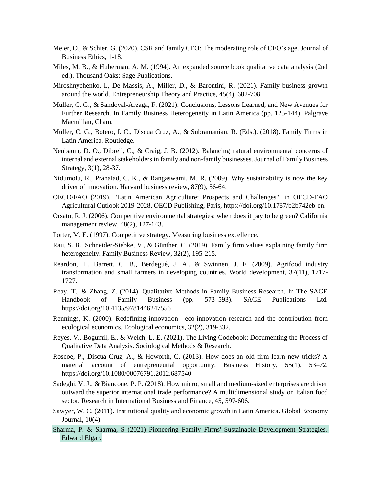- Meier, O., & Schier, G. (2020). CSR and family CEO: The moderating role of CEO's age. Journal of Business Ethics, 1-18.
- Miles, M. B., & Huberman, A. M. (1994). An expanded source book qualitative data analysis (2nd ed.). Thousand Oaks: Sage Publications.
- Miroshnychenko, I., De Massis, A., Miller, D., & Barontini, R. (2021). Family business growth around the world. Entrepreneurship Theory and Practice, 45(4), 682-708.
- Müller, C. G., & Sandoval-Arzaga, F. (2021). Conclusions, Lessons Learned, and New Avenues for Further Research. In Family Business Heterogeneity in Latin America (pp. 125-144). Palgrave Macmillan, Cham.
- Müller, C. G., Botero, I. C., Discua Cruz, A., & Subramanian, R. (Eds.). (2018). Family Firms in Latin America. Routledge.
- Neubaum, D. O., Dibrell, C., & Craig, J. B. (2012). Balancing natural environmental concerns of internal and external stakeholders in family and non-family businesses.Journal of Family Business Strategy, 3(1), 28-37.
- Nidumolu, R., Prahalad, C. K., & Rangaswami, M. R. (2009). Why sustainability is now the key driver of innovation. Harvard business review, 87(9), 56-64.
- OECD/FAO (2019), "Latin American Agriculture: Prospects and Challenges", in OECD-FAO Agricultural Outlook 2019-2028, OECD Publishing, Paris, https://doi.org/10.1787/b2b742eb-en.
- Orsato, R. J. (2006). Competitive environmental strategies: when does it pay to be green? California management review, 48(2), 127-143.
- Porter, M. E. (1997). Competitive strategy. Measuring business excellence.
- Rau, S. B., Schneider-Siebke, V., & Günther, C. (2019). Family firm values explaining family firm heterogeneity. Family Business Review, 32(2), 195-215.
- Reardon, T., Barrett, C. B., Berdegué, J. A., & Swinnen, J. F. (2009). Agrifood industry transformation and small farmers in developing countries. World development, 37(11), 1717- 1727.
- Reay, T., & Zhang, Z. (2014). Qualitative Methods in Family Business Research. In The SAGE Handbook of Family Business (pp. 573–593). SAGE Publications Ltd. https://doi.org/10.4135/9781446247556
- Rennings, K. (2000). Redefining innovation—eco-innovation research and the contribution from ecological economics. Ecological economics, 32(2), 319-332.
- Reyes, V., Bogumil, E., & Welch, L. E. (2021). The Living Codebook: Documenting the Process of Qualitative Data Analysis. Sociological Methods & Research.
- Roscoe, P., Discua Cruz, A., & Howorth, C. (2013). How does an old firm learn new tricks? A material account of entrepreneurial opportunity. Business History, 55(1), 53–72. https://doi.org/10.1080/00076791.2012.687540
- Sadeghi, V. J., & Biancone, P. P. (2018). How micro, small and medium-sized enterprises are driven outward the superior international trade performance? A multidimensional study on Italian food sector. Research in International Business and Finance, 45, 597-606.
- Sawyer, W. C. (2011). Institutional quality and economic growth in Latin America. Global Economy Journal, 10(4).
- Edward Elgar. Sharma, P. & Sharma, S (2021) Pioneering Family Firms' Sustainable Development Strategies.